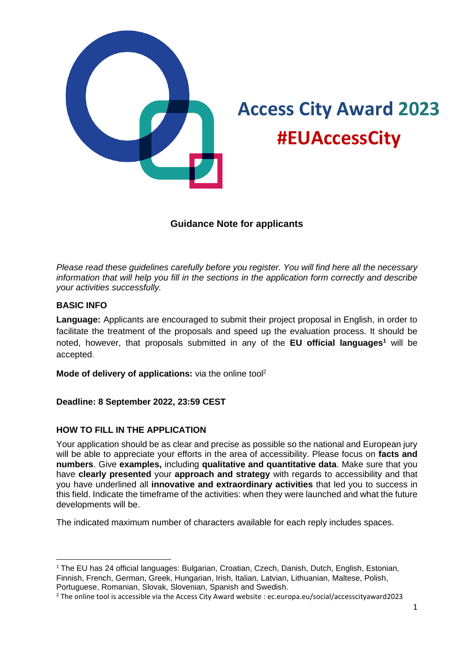

# **Access City Award 2023 #EUAccessCity**

# **Guidance Note for applicants**

*Please read these guidelines carefully before you register. You will find here all the necessary information that will help you fill in the sections in the application form correctly and describe your activities successfully.* 

## **BASIC INFO**

**Language:** Applicants are encouraged to submit their project proposal in English, in order to facilitate the treatment of the proposals and speed up the evaluation process. It should be noted, however, that proposals submitted in any of the **EU official languages<sup>1</sup>** will be accepted.

**Mode of delivery of applications:** via the online tool<sup>2</sup>

# **Deadline: 8 September 2022, 23:59 CEST**

# **HOW TO FILL IN THE APPLICATION**

Your application should be as clear and precise as possible so the national and European jury will be able to appreciate your efforts in the area of accessibility. Please focus on **facts and numbers**. Give **examples,** including **qualitative and quantitative data**. Make sure that you have **clearly presented** your **approach and strategy** with regards to accessibility and that you have underlined all **innovative and extraordinary activities** that led you to success in this field. Indicate the timeframe of the activities: when they were launched and what the future developments will be.

The indicated maximum number of characters available for each reply includes spaces.

<sup>&</sup>lt;sup>1</sup> The EU has 24 official languages: Bulgarian, Croatian, Czech, Danish, Dutch, English, Estonian, Finnish, French, German, Greek, Hungarian, Irish, Italian, Latvian, Lithuanian, Maltese, Polish, Portuguese, Romanian, Slovak, Slovenian, Spanish and Swedish.

<sup>2</sup> The online tool is accessible via the Access City Award website : ec.europa.eu/social/accesscityaward2023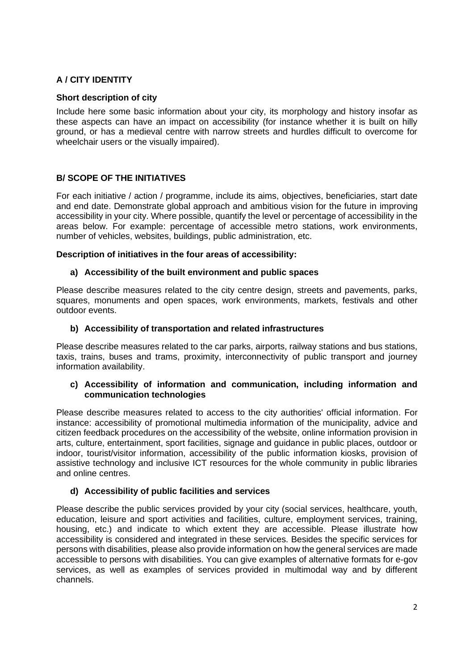# **A / CITY IDENTITY**

## **Short description of city**

Include here some basic information about your city, its morphology and history insofar as these aspects can have an impact on accessibility (for instance whether it is built on hilly ground, or has a medieval centre with narrow streets and hurdles difficult to overcome for wheelchair users or the visually impaired).

# **B/ SCOPE OF THE INITIATIVES**

For each initiative / action / programme, include its aims, objectives, beneficiaries, start date and end date. Demonstrate global approach and ambitious vision for the future in improving accessibility in your city. Where possible, quantify the level or percentage of accessibility in the areas below. For example: percentage of accessible metro stations, work environments, number of vehicles, websites, buildings, public administration, etc.

## **Description of initiatives in the four areas of accessibility:**

#### **a) Accessibility of the built environment and public spaces**

Please describe measures related to the city centre design, streets and pavements, parks, squares, monuments and open spaces, work environments, markets, festivals and other outdoor events.

#### **b) Accessibility of transportation and related infrastructures**

Please describe measures related to the car parks, airports, railway stations and bus stations, taxis, trains, buses and trams, proximity, interconnectivity of public transport and journey information availability.

#### **c) Accessibility of information and communication, including information and communication technologies**

Please describe measures related to access to the city authorities' official information. For instance: accessibility of promotional multimedia information of the municipality, advice and citizen feedback procedures on the accessibility of the website, online information provision in arts, culture, entertainment, sport facilities, signage and guidance in public places, outdoor or indoor, tourist/visitor information, accessibility of the public information kiosks, provision of assistive technology and inclusive ICT resources for the whole community in public libraries and online centres.

## **d) Accessibility of public facilities and services**

Please describe the public services provided by your city (social services, healthcare, youth, education, leisure and sport activities and facilities, culture, employment services, training, housing, etc.) and indicate to which extent they are accessible. Please illustrate how accessibility is considered and integrated in these services. Besides the specific services for persons with disabilities, please also provide information on how the general services are made accessible to persons with disabilities. You can give examples of alternative formats for e-gov services, as well as examples of services provided in multimodal way and by different channels.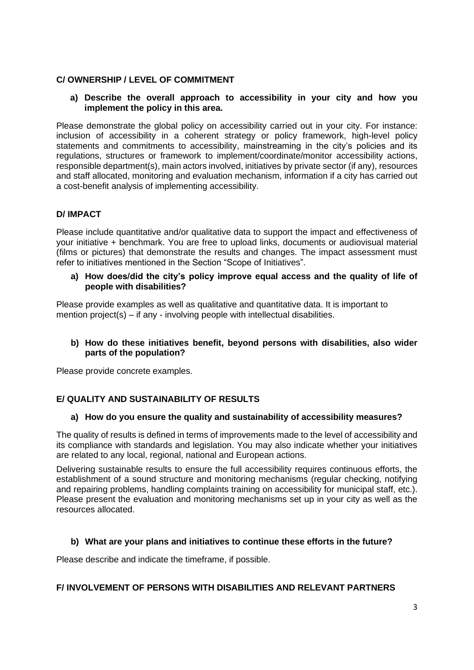## **C/ OWNERSHIP / LEVEL OF COMMITMENT**

## **a) Describe the overall approach to accessibility in your city and how you implement the policy in this area.**

Please demonstrate the global policy on accessibility carried out in your city. For instance: inclusion of accessibility in a coherent strategy or policy framework, high-level policy statements and commitments to accessibility, mainstreaming in the city's policies and its regulations, structures or framework to implement/coordinate/monitor accessibility actions, responsible department(s), main actors involved, initiatives by private sector (if any), resources and staff allocated, monitoring and evaluation mechanism, information if a city has carried out a cost-benefit analysis of implementing accessibility.

## **D/ IMPACT**

Please include quantitative and/or qualitative data to support the impact and effectiveness of your initiative + benchmark. You are free to upload links, documents or audiovisual material (films or pictures) that demonstrate the results and changes. The impact assessment must refer to initiatives mentioned in the Section "Scope of Initiatives".

**a) How does/did the city's policy improve equal access and the quality of life of people with disabilities?** 

Please provide examples as well as qualitative and quantitative data. It is important to mention project(s) – if any - involving people with intellectual disabilities.

## **b) How do these initiatives benefit, beyond persons with disabilities, also wider parts of the population?**

Please provide concrete examples.

# **E/ QUALITY AND SUSTAINABILITY OF RESULTS**

## **a) How do you ensure the quality and sustainability of accessibility measures?**

The quality of results is defined in terms of improvements made to the level of accessibility and its compliance with standards and legislation. You may also indicate whether your initiatives are related to any local, regional, national and European actions.

Delivering sustainable results to ensure the full accessibility requires continuous efforts, the establishment of a sound structure and monitoring mechanisms (regular checking, notifying and repairing problems, handling complaints training on accessibility for municipal staff, etc.). Please present the evaluation and monitoring mechanisms set up in your city as well as the resources allocated.

## **b) What are your plans and initiatives to continue these efforts in the future?**

Please describe and indicate the timeframe, if possible.

## **F/ INVOLVEMENT OF PERSONS WITH DISABILITIES AND RELEVANT PARTNERS**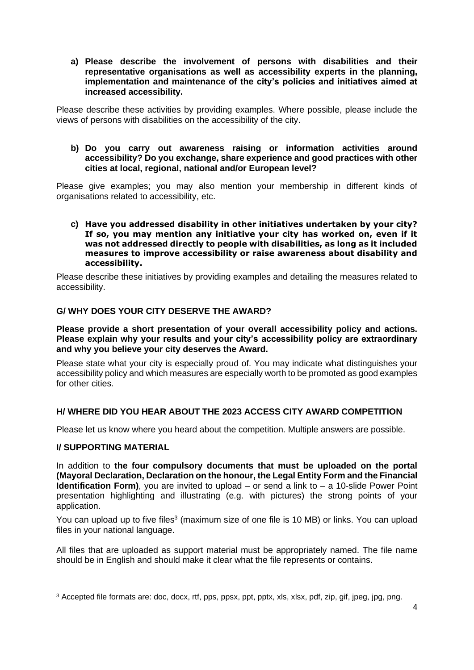**a) Please describe the involvement of persons with disabilities and their representative organisations as well as accessibility experts in the planning, implementation and maintenance of the city's policies and initiatives aimed at increased accessibility.** 

Please describe these activities by providing examples. Where possible, please include the views of persons with disabilities on the accessibility of the city.

#### **b) Do you carry out awareness raising or information activities around accessibility? Do you exchange, share experience and good practices with other cities at local, regional, national and/or European level?**

Please give examples; you may also mention your membership in different kinds of organisations related to accessibility, etc.

#### **c) Have you addressed disability in other initiatives undertaken by your city? If so, you may mention any initiative your city has worked on, even if it was not addressed directly to people with disabilities, as long as it included measures to improve accessibility or raise awareness about disability and accessibility.**

Please describe these initiatives by providing examples and detailing the measures related to accessibility.

## **G/ WHY DOES YOUR CITY DESERVE THE AWARD?**

**Please provide a short presentation of your overall accessibility policy and actions. Please explain why your results and your city's accessibility policy are extraordinary and why you believe your city deserves the Award.** 

Please state what your city is especially proud of. You may indicate what distinguishes your accessibility policy and which measures are especially worth to be promoted as good examples for other cities.

## **H/ WHERE DID YOU HEAR ABOUT THE 2023 ACCESS CITY AWARD COMPETITION**

Please let us know where you heard about the competition. Multiple answers are possible.

## **I/ SUPPORTING MATERIAL**

In addition to **the four compulsory documents that must be uploaded on the portal (Mayoral Declaration, Declaration on the honour, the Legal Entity Form and the Financial Identification Form)**, you are invited to upload – or send a link to – a 10-slide Power Point presentation highlighting and illustrating (e.g. with pictures) the strong points of your application.

You can upload up to five files<sup>3</sup> (maximum size of one file is 10 MB) or links. You can upload files in your national language.

All files that are uploaded as support material must be appropriately named. The file name should be in English and should make it clear what the file represents or contains.

<sup>3</sup> Accepted file formats are: doc, docx, rtf, pps, ppsx, ppt, pptx, xls, xlsx, pdf, zip, gif, jpeg, jpg, png.